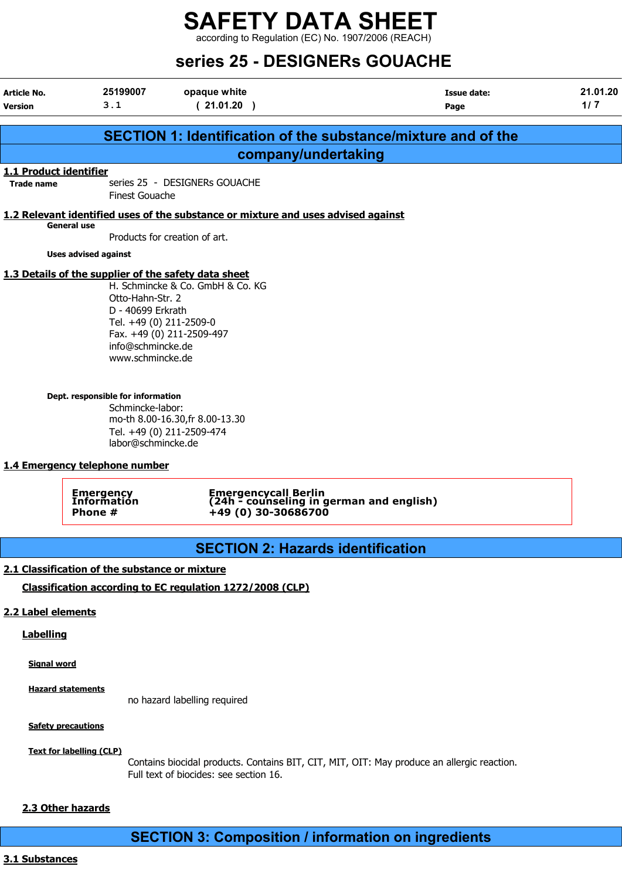according to Regulation (EC) No. 1907/2006 (REACH)

## Series DESIGNERS COURSILE

| Series 25 - DESIGNERS GOUACHE               |                                                                                                               |                                                                                         |                                                                      |                   |  |
|---------------------------------------------|---------------------------------------------------------------------------------------------------------------|-----------------------------------------------------------------------------------------|----------------------------------------------------------------------|-------------------|--|
| Article No.<br><b>Version</b>               | 25199007<br>3.1                                                                                               | opaque white<br>(21.01.20)                                                              | <b>Issue date:</b><br>Page                                           | 21.01.20<br>$1/7$ |  |
|                                             |                                                                                                               |                                                                                         | <b>SECTION 1: Identification of the substance/mixture and of the</b> |                   |  |
|                                             |                                                                                                               | company/undertaking                                                                     |                                                                      |                   |  |
| 1.1 Product identifier<br><b>Trade name</b> | <b>Finest Gouache</b>                                                                                         | series 25 - DESIGNERs GOUACHE                                                           |                                                                      |                   |  |
|                                             |                                                                                                               | 1.2 Relevant identified uses of the substance or mixture and uses advised against       |                                                                      |                   |  |
|                                             | <b>General use</b>                                                                                            | Products for creation of art.                                                           |                                                                      |                   |  |
|                                             | <b>Uses advised against</b>                                                                                   |                                                                                         |                                                                      |                   |  |
|                                             | Otto-Hahn-Str. 2<br>D - 40699 Erkrath<br>Tel. +49 (0) 211-2509-0<br>info@schmincke.de<br>www.schmincke.de     | H. Schmincke & Co. GmbH & Co. KG<br>Fax. +49 (0) 211-2509-497                           |                                                                      |                   |  |
|                                             | Dept. responsible for information<br>Schmincke-labor:<br>labor@schmincke.de<br>1.4 Emergency telephone number | mo-th 8.00-16.30, fr 8.00-13.30<br>Tel. +49 (0) 211-2509-474                            |                                                                      |                   |  |
|                                             | <b>Emergency</b><br>Information<br>Phone #                                                                    | Emergencycall Berlin<br>(24h - counseling in german and english)<br>+49 (0) 30-30686700 |                                                                      |                   |  |
|                                             |                                                                                                               | <b>SECTION 2: Hazards identification</b>                                                |                                                                      |                   |  |
| 2.2 Label elements                          | 2.1 Classification of the substance or mixture                                                                | Classification according to EC regulation 1272/2008 (CLP)                               |                                                                      |                   |  |

#### **Labelling**

Signal word

**Hazard statements** 

no hazard labelling required

**Safety precautions** 

Text for labelling (CLP)

Contains biocidal products. Contains BIT, CIT, MIT, OIT: May produce an allergic reaction. Full text of biocides: see section 16.

#### 2.3 Other hazards

SECTION 3: Composition / information on ingredients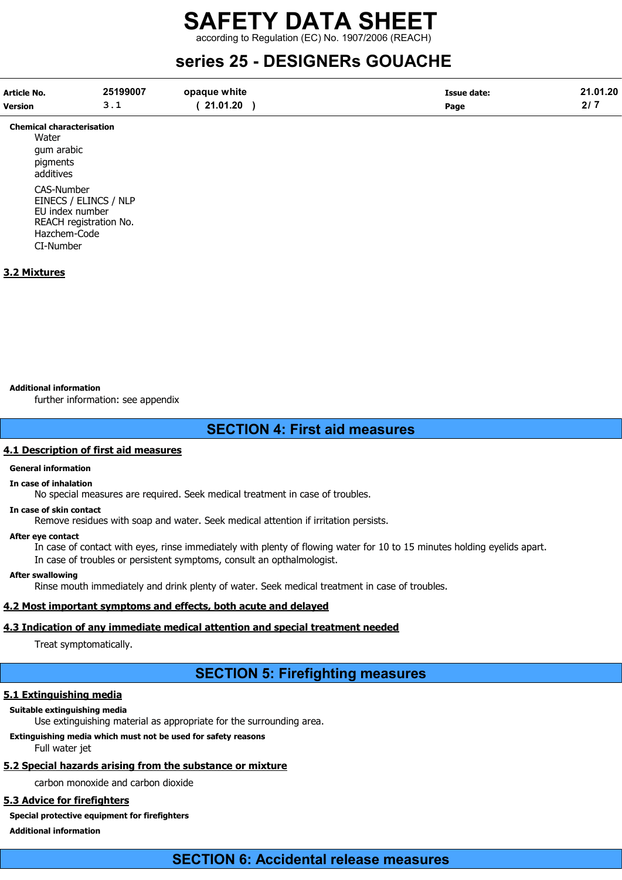according to Regulation (EC) No. 1907/2006 (REACH)

### series 25 - DESIGNERs GOUACHE

| <b>Article No.</b> | 25199007 | opaque white | <b>Issue date:</b> | 21.01.20    |
|--------------------|----------|--------------|--------------------|-------------|
| <b>Version</b>     |          | 21.01.20     | Page               | o 1 5<br>41 |

Chemical characterisation **Water** gum arabic pigments additives CAS-Number EINECS / ELINCS / NLP EU index number REACH registration No. Hazchem-Code CI-Number

#### 3.2 Mixtures

#### Additional information

further information: see appendix

#### SECTION 4: First aid measures

#### 4.1 Description of first aid measures

#### General information

#### In case of inhalation

No special measures are required. Seek medical treatment in case of troubles.

#### In case of skin contact

Remove residues with soap and water. Seek medical attention if irritation persists.

#### After eye contact

In case of contact with eyes, rinse immediately with plenty of flowing water for 10 to 15 minutes holding eyelids apart. In case of troubles or persistent symptoms, consult an opthalmologist.

#### After swallowing

Rinse mouth immediately and drink plenty of water. Seek medical treatment in case of troubles.

#### 4.2 Most important symptoms and effects, both acute and delayed

#### 4.3 Indication of any immediate medical attention and special treatment needed

Treat symptomatically.

### SECTION 5: Firefighting measures

#### 5.1 Extinguishing media

#### Suitable extinguishing media

Use extinguishing material as appropriate for the surrounding area.

#### Extinguishing media which must not be used for safety reasons

Full water jet

#### 5.2 Special hazards arising from the substance or mixture

carbon monoxide and carbon dioxide

#### 5.3 Advice for firefighters

Special protective equipment for firefighters

#### Additional information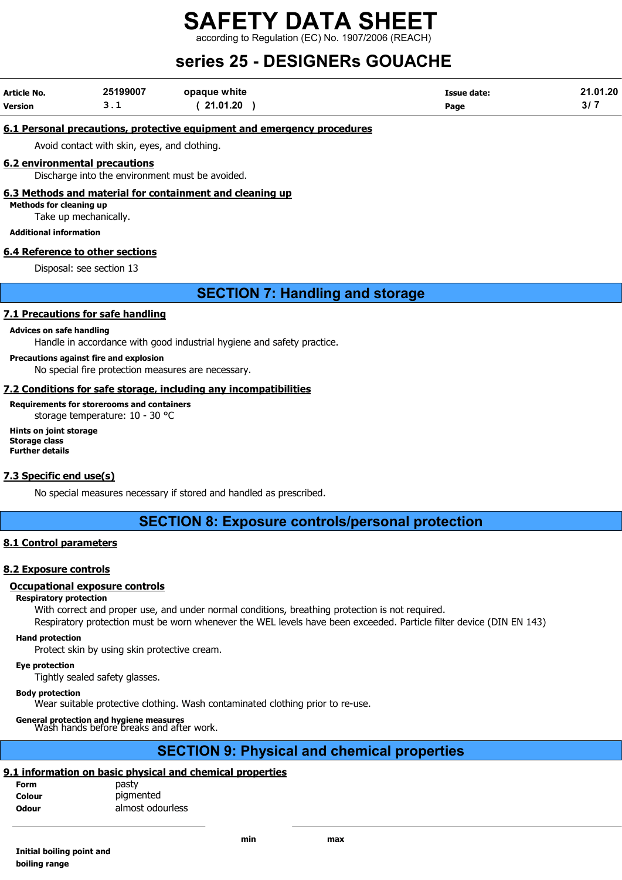according to Regulation (EC) No. 1907/2006 (REACH)

## series 25 - DESIGNERs GOUACHE

| Article No.    | 25199007 | opaque white | <b>Issue date:</b> | 21.01.20 |
|----------------|----------|--------------|--------------------|----------|
| <b>Version</b> | ـ        | 21.01.20     | Page               | 3/7      |

#### 6.1 Personal precautions, protective equipment and emergency procedures

Avoid contact with skin, eyes, and clothing.

#### 6.2 environmental precautions

Discharge into the environment must be avoided.

#### 6.3 Methods and material for containment and cleaning up

Methods for cleaning up

Take up mechanically.

Additional information

#### 6.4 Reference to other sections

Disposal: see section 13

#### SECTION 7: Handling and storage

#### 7.1 Precautions for safe handling

#### Advices on safe handling

Handle in accordance with good industrial hygiene and safety practice.

#### Precautions against fire and explosion

No special fire protection measures are necessary.

#### 7.2 Conditions for safe storage, including any incompatibilities

Requirements for storerooms and containers storage temperature: 10 - 30 °C

Hints on joint storage Storage class Further details

#### 7.3 Specific end use(s)

No special measures necessary if stored and handled as prescribed.

#### SECTION 8: Exposure controls/personal protection

#### 8.1 Control parameters

#### 8.2 Exposure controls

#### Occupational exposure controls

#### Respiratory protection

With correct and proper use, and under normal conditions, breathing protection is not required.

Respiratory protection must be worn whenever the WEL levels have been exceeded. Particle filter device (DIN EN 143)

#### Hand protection

Protect skin by using skin protective cream.

#### Eye protection

Tightly sealed safety glasses.

#### Body protection

Wear suitable protective clothing. Wash contaminated clothing prior to re-use.

General protection and hygiene measures Wash hands before breaks and after work.

### SECTION 9: Physical and chemical properties

#### 9.1 information on basic physical and chemical properties

| Form         | pasty            |
|--------------|------------------|
| Colour       | pigmented        |
| <b>Odour</b> | almost odourless |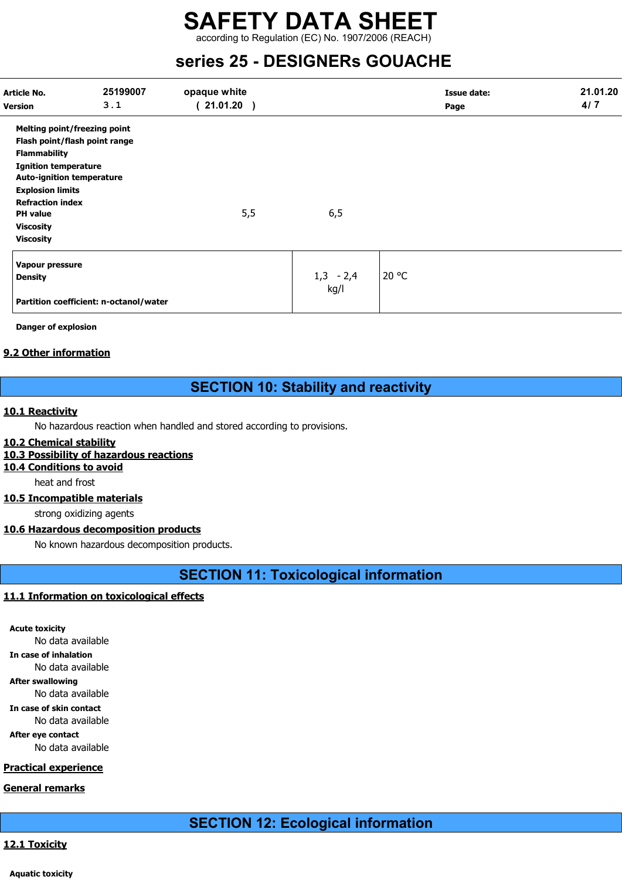according to Regulation (EC) No. 1907/2006 (REACH)

### series 25 - DESIGNERs GOUACHE

| Article No.<br><b>Version</b>       | 25199007<br>3.1                        | opaque white<br>$21.01.20$ ) |             | <b>Issue date:</b><br>Page | 21.01.20<br>4/7 |
|-------------------------------------|----------------------------------------|------------------------------|-------------|----------------------------|-----------------|
| <b>Melting point/freezing point</b> |                                        |                              |             |                            |                 |
|                                     | Flash point/flash point range          |                              |             |                            |                 |
| <b>Flammability</b>                 |                                        |                              |             |                            |                 |
| <b>Ignition temperature</b>         |                                        |                              |             |                            |                 |
| <b>Auto-ignition temperature</b>    |                                        |                              |             |                            |                 |
| <b>Explosion limits</b>             |                                        |                              |             |                            |                 |
| <b>Refraction index</b>             |                                        |                              |             |                            |                 |
| <b>PH</b> value                     |                                        | 5,5                          | 6,5         |                            |                 |
| <b>Viscosity</b>                    |                                        |                              |             |                            |                 |
| <b>Viscosity</b>                    |                                        |                              |             |                            |                 |
| Vapour pressure                     |                                        |                              |             |                            |                 |
| <b>Density</b>                      |                                        |                              | $1,3 - 2,4$ | 20 °C                      |                 |
|                                     | Partition coefficient: n-octanol/water |                              | kg/l        |                            |                 |

Danger of explosion

#### 9.2 Other information

### SECTION 10: Stability and reactivity

#### 10.1 Reactivity

No hazardous reaction when handled and stored according to provisions.

#### 10.2 Chemical stability

#### 10.3 Possibility of hazardous reactions

10.4 Conditions to avoid

heat and frost

#### 10.5 Incompatible materials

strong oxidizing agents

#### 10.6 Hazardous decomposition products

No known hazardous decomposition products.

SECTION 11: Toxicological information

#### 11.1 Information on toxicological effects

Acute toxicity

No data available

In case of inhalation No data available

After swallowing

#### No data available

In case of skin contact

No data available

After eye contact No data available

#### Practical experience

General remarks

### 12.1 Toxicity

Aquatic toxicity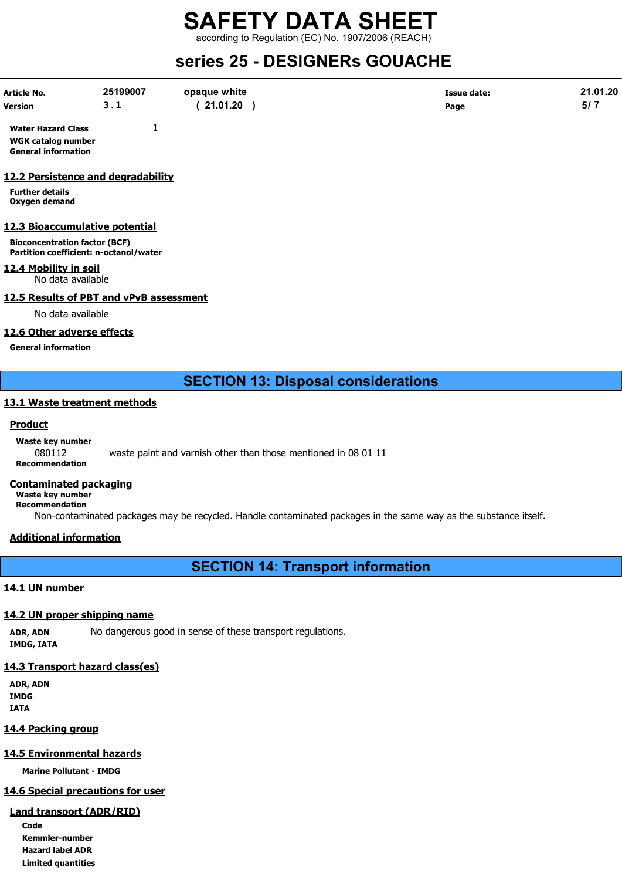according to Regulation (EC) No. 1907/2006 (REACH)

### series 25 - DESIGNERs GOUACHE

| Article No.    | 25199007 | opaque white | <b>Issue date:</b> | 21.01.20 |
|----------------|----------|--------------|--------------------|----------|
| <b>Version</b> | <u>.</u> | 21.01.20     | Page               | 5/7      |

Water Hazard Class 1 WGK catalog number General information

#### 12.2 Persistence and degradability

Further details Oxygen demand

#### 12.3 Bioaccumulative potential

Bioconcentration factor (BCF) Partition coefficient: n-octanol/water

#### 12.4 Mobility in soil

No data available

#### 12.5 Results of PBT and vPvB assessment

No data available

#### 12.6 Other adverse effects

General information

#### SECTION 13: Disposal considerations

#### 13.1 Waste treatment methods

#### **Product**

Waste key number 080112 waste paint and varnish other than those mentioned in 08 01 11 Recommendation

#### Contaminated packaging

Waste key number Recommendation

Non-contaminated packages may be recycled. Handle contaminated packages in the same way as the substance itself.

#### Additional information

SECTION 14: Transport information

#### 14.1 UN number

#### 14.2 UN proper shipping name

ADR, ADN No dangerous good in sense of these transport regulations. IMDG, IATA

#### 14.3 Transport hazard class(es)

ADR, ADN IMDG IATA

#### 14.4 Packing group

#### 14.5 Environmental hazards

Marine Pollutant - IMDG

### 14.6 Special precautions for user

### Land transport (ADR/RID)

Code Kemmler-number Hazard label ADR Limited quantities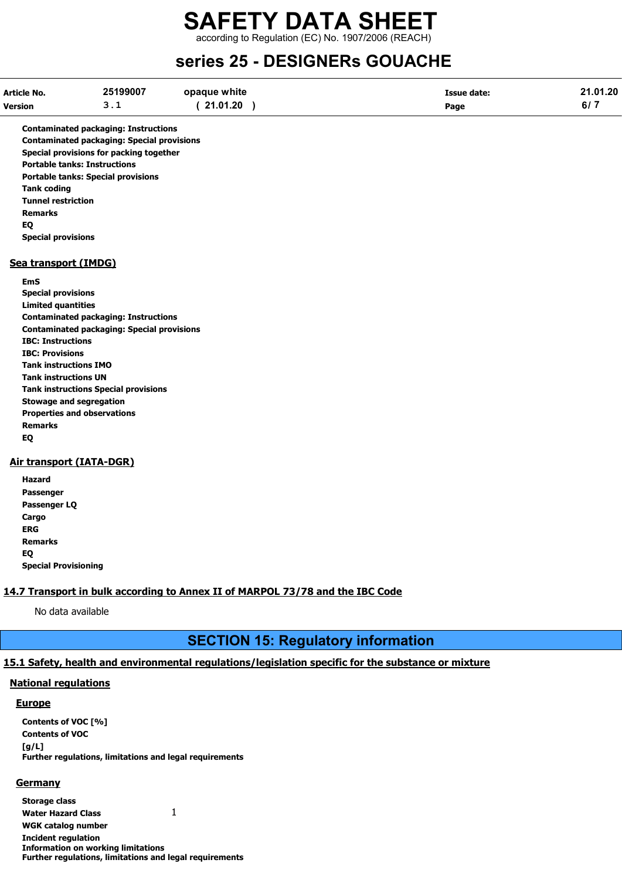according to Regulation (EC) No. 1907/2006 (REACH)

### series 25 - DESIGNERs GOUACHE

| Article No.    | 25199007 | opaque white | <b>Issue date:</b> | 21.01.20 |
|----------------|----------|--------------|--------------------|----------|
| <b>Version</b> |          | 21.01.20     | Page               |          |

Contaminated packaging: Instructions Contaminated packaging: Special provisions Special provisions for packing together Portable tanks: Instructions Portable tanks: Special provisions Tank coding Tunnel restriction Remarks EQ Special provisions

#### Sea transport (IMDG)

EmS Special provisions Limited quantities Contaminated packaging: Instructions Contaminated packaging: Special provisions IBC: Instructions IBC: Provisions Tank instructions IMO Tank instructions UN Tank instructions Special provisions Stowage and segregation Properties and observations Remarks EQ

#### Air transport (IATA-DGR)

| Hazard                      |
|-----------------------------|
| Passenger                   |
| Passenger LQ                |
| Cargo                       |
| ERG                         |
| Remarks                     |
| EQ                          |
| <b>Special Provisioning</b> |

#### 14.7 Transport in bulk according to Annex II of MARPOL 73/78 and the IBC Code

No data available

#### SECTION 15: Regulatory information

#### 15.1 Safety, health and environmental regulations/legislation specific for the substance or mixture

#### National regulations

#### **Europe**

Contents of VOC [%] Contents of VOC [g/L] Further regulations, limitations and legal requirements

#### **Germany**

Storage class Water Hazard Class 1 WGK catalog number Incident regulation Information on working limitations Further regulations, limitations and legal requirements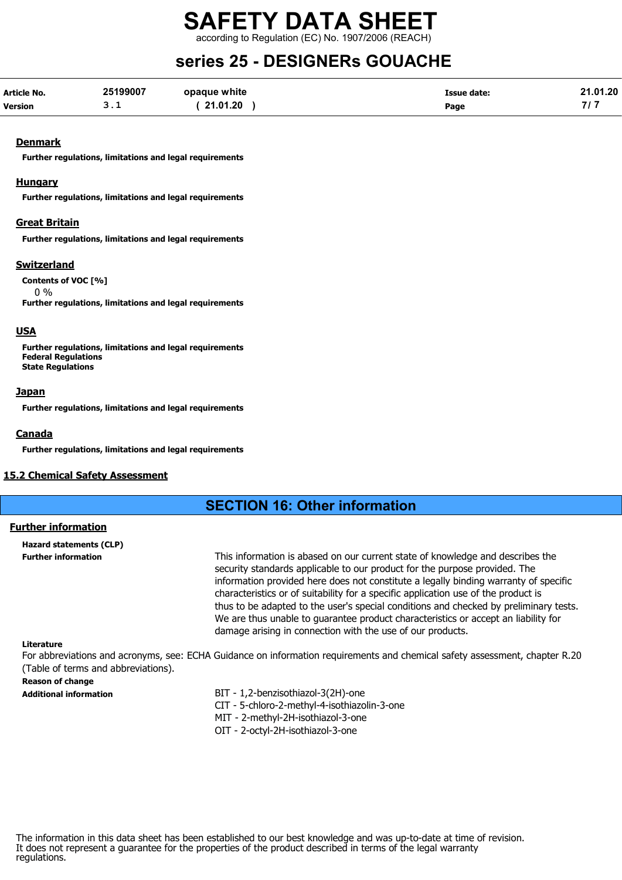according to Regulation (EC) No. 1907/2006 (REACH)

## series 25 - DESIGNERs GOUACHE

| Article No.    | 25199007 | opaque white | <b>Issue date:</b> | 21.01.20 |
|----------------|----------|--------------|--------------------|----------|
| <b>Version</b> |          | 21.01.20     | Page               |          |

#### **Denmark**

Further regulations, limitations and legal requirements

#### Hungary

Further regulations, limitations and legal requirements

#### Great Britain

Further regulations, limitations and legal requirements

#### Switzerland

Contents of VOC [%] 0 % Further regulations, limitations and legal requirements

#### USA

Further regulations, limitations and legal requirements Federal Regulations State Regulations

#### **Japan**

Further regulations, limitations and legal requirements

#### Canada

Further regulations, limitations and legal requirements

#### 15.2 Chemical Safety Assessment

#### SECTION 16: Other information

#### Further information

Hazard statements (CLP)

Further information This information is abased on our current state of knowledge and describes the security standards applicable to our product for the purpose provided. The information provided here does not constitute a legally binding warranty of specific characteristics or of suitability for a specific application use of the product is thus to be adapted to the user's special conditions and checked by preliminary tests. We are thus unable to guarantee product characteristics or accept an liability for damage arising in connection with the use of our products.

#### Literature

For abbreviations and acronyms, see: ECHA Guidance on information requirements and chemical safety assessment, chapter R.20 (Table of terms and abbreviations).

## Reason of change

Additional information BIT - 1,2-benzisothiazol-3(2H)-one CIT - 5-chloro-2-methyl-4-isothiazolin-3-one MIT - 2-methyl-2H-isothiazol-3-one

- 
- OIT 2-octyl-2H-isothiazol-3-one

The information in this data sheet has been established to our best knowledge and was up-to-date at time of revision. It does not represent a guarantee for the properties of the product described in terms of the legal warranty regulations.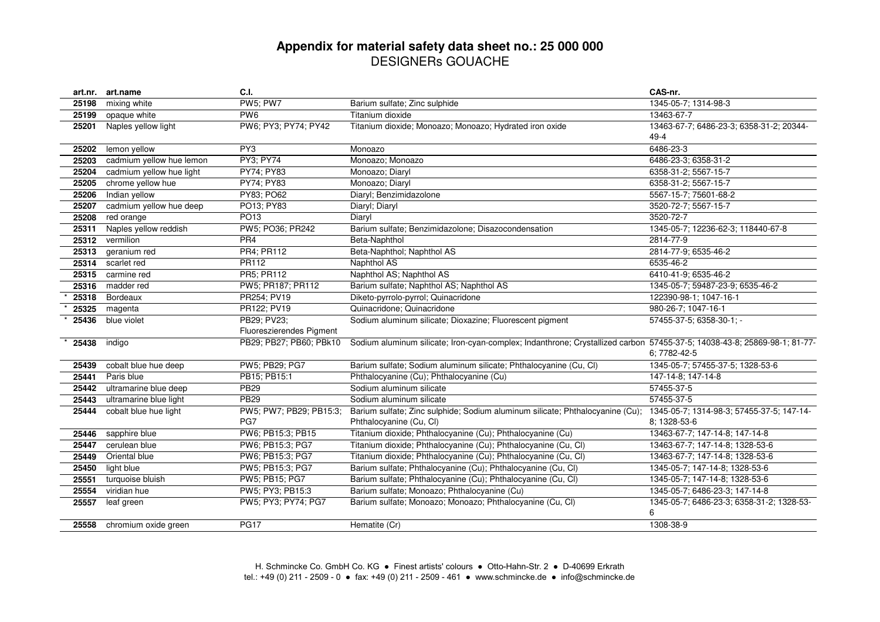#### **Appendix for material safety data sheet no.: 25 000 000** DESIGNERs GOUACHE

|       | art.nr. art.name           | C.I.                                    |                                                                                                                          | CAS-nr.                                                   |
|-------|----------------------------|-----------------------------------------|--------------------------------------------------------------------------------------------------------------------------|-----------------------------------------------------------|
| 25198 | mixing white               | <b>PW5; PW7</b>                         | Barium sulfate; Zinc sulphide                                                                                            | 1345-05-7; 1314-98-3                                      |
| 25199 | opaque white               | PW <sub>6</sub>                         | Titanium dioxide                                                                                                         | 13463-67-7                                                |
| 25201 | Naples yellow light        | PW6; PY3; PY74; PY42                    | Titanium dioxide; Monoazo; Monoazo; Hydrated iron oxide                                                                  | 13463-67-7; 6486-23-3; 6358-31-2; 20344-<br>$49 - 4$      |
| 25202 | lemon yellow               | PY3                                     | Monoazo                                                                                                                  | 6486-23-3                                                 |
| 25203 | cadmium yellow hue lemon   | <b>PY3; PY74</b>                        | Monoazo; Monoazo                                                                                                         | 6486-23-3; 6358-31-2                                      |
| 25204 | cadmium yellow hue light   | PY74; PY83                              | Monoazo; Diaryl                                                                                                          | 6358-31-2; 5567-15-7                                      |
| 25205 | chrome yellow hue          | PY74; PY83                              | Monoazo; Diaryl                                                                                                          | 6358-31-2; 5567-15-7                                      |
| 25206 | Indian yellow              | PY83; PO62                              | Diaryl; Benzimidazolone                                                                                                  | 5567-15-7; 75601-68-2                                     |
| 25207 | cadmium yellow hue deep    | PO13; PY83                              | Diaryl; Diaryl                                                                                                           | 3520-72-7; 5567-15-7                                      |
| 25208 | red orange                 | PO13                                    | Diaryl                                                                                                                   | 3520-72-7                                                 |
| 25311 | Naples yellow reddish      | PW5; PO36; PR242                        | Barium sulfate; Benzimidazolone; Disazocondensation                                                                      | 1345-05-7; 12236-62-3; 118440-67-8                        |
| 25312 | vermilion                  | PR <sub>4</sub>                         | Beta-Naphthol                                                                                                            | 2814-77-9                                                 |
| 25313 | geranium red               | PR4; PR112                              | Beta-Naphthol; Naphthol AS                                                                                               | 2814-77-9; 6535-46-2                                      |
| 25314 | scarlet red                | PR112                                   | Naphthol AS                                                                                                              | 6535-46-2                                                 |
| 25315 | carmine red                | PR5; PR112                              | Naphthol AS; Naphthol AS                                                                                                 | 6410-41-9; 6535-46-2                                      |
| 25316 | madder red                 | PW5; PR187; PR112                       | Barium sulfate; Naphthol AS; Naphthol AS                                                                                 | 1345-05-7; 59487-23-9; 6535-46-2                          |
| 25318 | Bordeaux                   | PR254; PV19                             | Diketo-pyrrolo-pyrrol; Quinacridone                                                                                      | 122390-98-1; 1047-16-1                                    |
| 25325 | magenta                    | PR122; PV19                             | Quinacridone; Quinacridone                                                                                               | 980-26-7; 1047-16-1                                       |
| 25436 | blue violet                | PB29: PV23:<br>Fluoreszierendes Pigment | Sodium aluminum silicate; Dioxazine; Fluorescent pigment                                                                 | 57455-37-5; 6358-30-1; -                                  |
| 25438 | indigo                     | PB29; PB27; PB60; PBk10                 | Sodium aluminum silicate; Iron-cyan-complex; Indanthrone; Crystallized carbon 57455-37-5; 14038-43-8; 25869-98-1; 81-77- | 6:7782-42-5                                               |
| 25439 | cobalt blue hue deep       | PW5; PB29; PG7                          | Barium sulfate; Sodium aluminum silicate; Phthalocyanine (Cu, Cl)                                                        | 1345-05-7; 57455-37-5; 1328-53-6                          |
| 25441 | Paris blue                 | PB15; PB15:1                            | Phthalocyanine (Cu); Phthalocyanine (Cu)                                                                                 | 147-14-8; 147-14-8                                        |
| 25442 | ultramarine blue deep      | <b>PB29</b>                             | Sodium aluminum silicate                                                                                                 | 57455-37-5                                                |
| 25443 | ultramarine blue light     | <b>PB29</b>                             | Sodium aluminum silicate                                                                                                 | 57455-37-5                                                |
| 25444 | cobalt blue hue light      | PW5; PW7; PB29; PB15:3;<br>PG7          | Barium sulfate; Zinc sulphide; Sodium aluminum silicate; Phthalocyanine (Cu);<br>Phthalocyanine (Cu, Cl)                 | 1345-05-7; 1314-98-3; 57455-37-5; 147-14-<br>8; 1328-53-6 |
| 25446 | sapphire blue              | PW6; PB15:3; PB15                       | Titanium dioxide; Phthalocyanine (Cu); Phthalocyanine (Cu)                                                               | 13463-67-7; 147-14-8; 147-14-8                            |
| 25447 | cerulean blue              | PW6; PB15:3; PG7                        | Titanium dioxide; Phthalocyanine (Cu); Phthalocyanine (Cu, Cl)                                                           | 13463-67-7; 147-14-8; 1328-53-6                           |
| 25449 | Oriental blue              | PW6; PB15:3; PG7                        | Titanium dioxide; Phthalocyanine (Cu); Phthalocyanine (Cu, Cl)                                                           | 13463-67-7; 147-14-8; 1328-53-6                           |
| 25450 | light blue                 | PW5; PB15:3; PG7                        | Barium sulfate; Phthalocyanine (Cu); Phthalocyanine (Cu, Cl)                                                             | 1345-05-7; 147-14-8; 1328-53-6                            |
| 25551 | turquoise bluish           | PW5; PB15; PG7                          | Barium sulfate; Phthalocyanine (Cu); Phthalocyanine (Cu, Cl)                                                             | 1345-05-7; 147-14-8; 1328-53-6                            |
| 25554 | viridian hue               | PW5; PY3; PB15:3                        | Barium sulfate; Monoazo; Phthalocyanine (Cu)                                                                             | 1345-05-7; 6486-23-3; 147-14-8                            |
| 25557 | leaf green                 | PW5; PY3; PY74; PG7                     | Barium sulfate; Monoazo; Monoazo; Phthalocyanine (Cu, Cl)                                                                | 1345-05-7; 6486-23-3; 6358-31-2; 1328-53-<br>6            |
|       | 25558 chromium oxide green | <b>PG17</b>                             | Hematite (Cr)                                                                                                            | 1308-38-9                                                 |